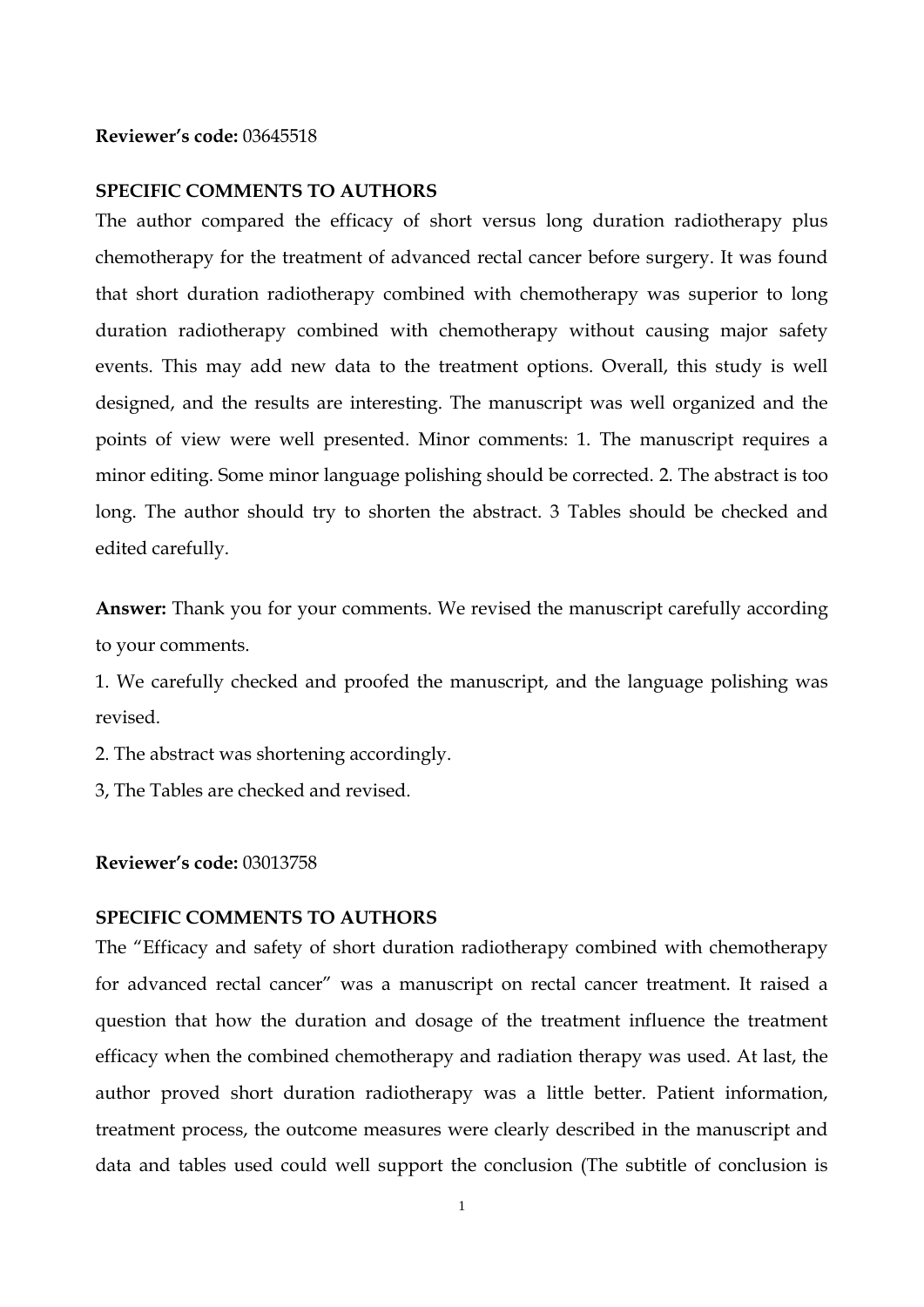## **Reviewer's code:** 03645518

## **SPECIFIC COMMENTS TO AUTHORS**

The author compared the efficacy of short versus long duration radiotherapy plus chemotherapy for the treatment of advanced rectal cancer before surgery. It was found that short duration radiotherapy combined with chemotherapy was superior to long duration radiotherapy combined with chemotherapy without causing major safety events. This may add new data to the treatment options. Overall, this study is well designed, and the results are interesting. The manuscript was well organized and the points of view were well presented. Minor comments: 1. The manuscript requires a minor editing. Some minor language polishing should be corrected. 2. The abstract is too long. The author should try to shorten the abstract. 3 Tables should be checked and edited carefully.

**Answer:** Thank you for your comments. We revised the manuscript carefully according to your comments.

1. We carefully checked and proofed the manuscript, and the language polishing was revised.

2. The abstract was shortening accordingly.

3, The Tables are checked and revised.

## **Reviewer's code:** 03013758

## **SPECIFIC COMMENTS TO AUTHORS**

The "Efficacy and safety of short duration radiotherapy combined with chemotherapy for advanced rectal cancer" was a manuscript on rectal cancer treatment. It raised a question that how the duration and dosage of the treatment influence the treatment efficacy when the combined chemotherapy and radiation therapy was used. At last, the author proved short duration radiotherapy was a little better. Patient information, treatment process, the outcome measures were clearly described in the manuscript and data and tables used could well support the conclusion (The subtitle of conclusion is